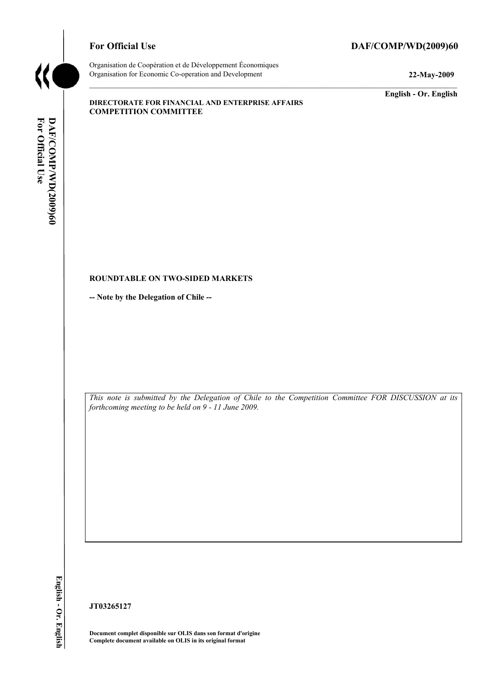

## For Official Use DAF/COMP/WD(2009)60

Organisation de Coopération et de Développement Économiques Organisation for Economic Co-operation and Development **22-May-2009** 

**English - Or. English** 

#### **DIRECTORATE FOR FINANCIAL AND ENTERPRISE AFFAIRS COMPETITION COMMITTEE**

### **ROUNDTABLE ON TWO-SIDED MARKETS**

**-- Note by the Delegation of Chile --** 

*This note is submitted by the Delegation of Chile to the Competition Committee FOR DISCUSSION at its forthcoming meeting to be held on 9 - 11 June 2009.* 

English - Or. English

**JT03265127** 

**Document complet disponible sur OLIS dans son format d'origine Complete document available on OLIS in its original format**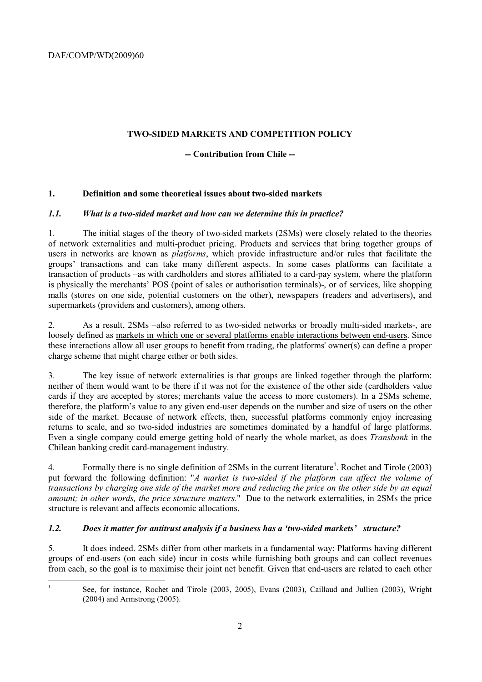## **TWO-SIDED MARKETS AND COMPETITION POLICY**

## **-- Contribution from Chile --**

# **1. Definition and some theoretical issues about two-sided markets**

## *1.1. What is a two-sided market and how can we determine this in practice?*

1. The initial stages of the theory of two-sided markets (2SMs) were closely related to the theories of network externalities and multi-product pricing. Products and services that bring together groups of users in networks are known as *platforms*, which provide infrastructure and/or rules that facilitate the groups' transactions and can take many different aspects. In some cases platforms can facilitate a transaction of products –as with cardholders and stores affiliated to a card-pay system, where the platform is physically the merchants' POS (point of sales or authorisation terminals)-, or of services, like shopping malls (stores on one side, potential customers on the other), newspapers (readers and advertisers), and supermarkets (providers and customers), among others.

2. As a result, 2SMs –also referred to as two-sided networks or broadly multi-sided markets-, are loosely defined as markets in which one or several platforms enable interactions between end-users. Since these interactions allow all user groups to benefit from trading, the platforms' owner(s) can define a proper charge scheme that might charge either or both sides.

3. The key issue of network externalities is that groups are linked together through the platform: neither of them would want to be there if it was not for the existence of the other side (cardholders value cards if they are accepted by stores; merchants value the access to more customers). In a 2SMs scheme, therefore, the platform's value to any given end-user depends on the number and size of users on the other side of the market. Because of network effects, then, successful platforms commonly enjoy increasing returns to scale, and so two-sided industries are sometimes dominated by a handful of large platforms. Even a single company could emerge getting hold of nearly the whole market, as does *Transbank* in the Chilean banking credit card-management industry.

4. Formally there is no single definition of 2SMs in the current literature<sup>1</sup>. Rochet and Tirole (2003) put forward the following definition: "*A market is two-sided if the platform can affect the volume of transactions by charging one side of the market more and reducing the price on the other side by an equal amount; in other words, the price structure matters.*" Due to the network externalities, in 2SMs the price structure is relevant and affects economic allocations.

# *1.2. Does it matter for antitrust analysis if a business has a 'two-sided markets' structure?*

5. It does indeed. 2SMs differ from other markets in a fundamental way: Platforms having different groups of end-users (on each side) incur in costs while furnishing both groups and can collect revenues from each, so the goal is to maximise their joint net benefit. Given that end-users are related to each other

|<br>|<br>|

See, for instance, Rochet and Tirole (2003, 2005), Evans (2003), Caillaud and Jullien (2003), Wright (2004) and Armstrong (2005).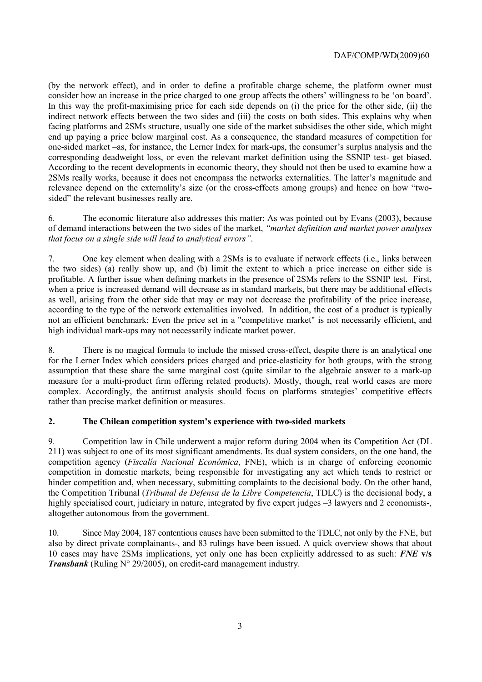### DAF/COMP/WD(2009)60

(by the network effect), and in order to define a profitable charge scheme, the platform owner must consider how an increase in the price charged to one group affects the others' willingness to be 'on board'. In this way the profit-maximising price for each side depends on (i) the price for the other side, (ii) the indirect network effects between the two sides and (iii) the costs on both sides. This explains why when facing platforms and 2SMs structure, usually one side of the market subsidises the other side, which might end up paying a price below marginal cost. As a consequence, the standard measures of competition for one-sided market –as, for instance, the Lerner Index for mark-ups, the consumer's surplus analysis and the corresponding deadweight loss, or even the relevant market definition using the SSNIP test- get biased. According to the recent developments in economic theory, they should not then be used to examine how a 2SMs really works, because it does not encompass the networks externalities. The latter's magnitude and relevance depend on the externality's size (or the cross-effects among groups) and hence on how "twosided" the relevant businesses really are.

6. The economic literature also addresses this matter: As was pointed out by Evans (2003), because of demand interactions between the two sides of the market, *"market definition and market power analyses that focus on a single side will lead to analytical errors"*.

7. One key element when dealing with a 2SMs is to evaluate if network effects (i.e., links between the two sides) (a) really show up, and (b) limit the extent to which a price increase on either side is profitable. A further issue when defining markets in the presence of 2SMs refers to the SSNIP test. First, when a price is increased demand will decrease as in standard markets, but there may be additional effects as well, arising from the other side that may or may not decrease the profitability of the price increase, according to the type of the network externalities involved. In addition, the cost of a product is typically not an efficient benchmark: Even the price set in a "competitive market" is not necessarily efficient, and high individual mark-ups may not necessarily indicate market power.

8. There is no magical formula to include the missed cross-effect, despite there is an analytical one for the Lerner Index which considers prices charged and price-elasticity for both groups, with the strong assumption that these share the same marginal cost (quite similar to the algebraic answer to a mark-up measure for a multi-product firm offering related products). Mostly, though, real world cases are more complex. Accordingly, the antitrust analysis should focus on platforms strategies' competitive effects rather than precise market definition or measures.

### **2. The Chilean competition system's experience with two-sided markets**

9. Competition law in Chile underwent a major reform during 2004 when its Competition Act (DL 211) was subject to one of its most significant amendments. Its dual system considers, on the one hand, the competition agency (*Fiscalía Nacional Económica*, FNE), which is in charge of enforcing economic competition in domestic markets, being responsible for investigating any act which tends to restrict or hinder competition and, when necessary, submitting complaints to the decisional body. On the other hand, the Competition Tribunal (*Tribunal de Defensa de la Libre Competencia*, TDLC) is the decisional body, a highly specialised court, judiciary in nature, integrated by five expert judges  $-3$  lawyers and 2 economists-, altogether autonomous from the government.

10. Since May 2004, 187 contentious causes have been submitted to the TDLC, not only by the FNE, but also by direct private complainants-, and 83 rulings have been issued. A quick overview shows that about 10 cases may have 2SMs implications, yet only one has been explicitly addressed to as such: *FNE* **v/s**  *Transbank* (Ruling N° 29/2005), on credit-card management industry.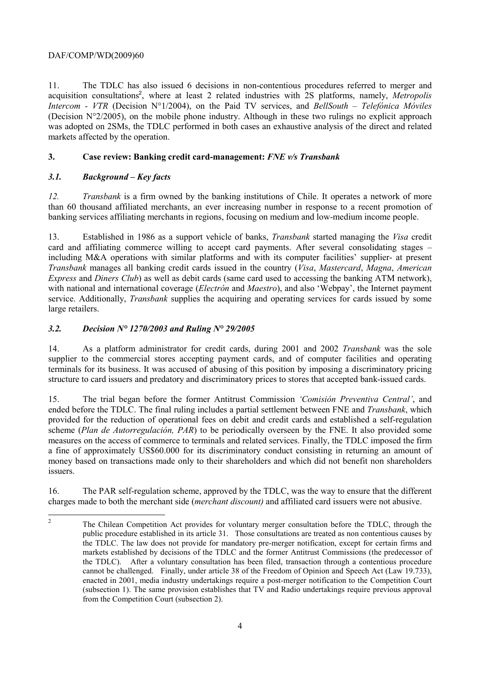## DAF/COMP/WD(2009)60

11. The TDLC has also issued 6 decisions in non-contentious procedures referred to merger and acquisition consultations<sup>2</sup>, where at least 2 related industries with 2S platforms, namely, Metropolis *Intercom - VTR* (Decision N°1/2004), on the Paid TV services, and *BellSouth – Telefónica Móviles*  (Decision N°2/2005), on the mobile phone industry. Although in these two rulings no explicit approach was adopted on 2SMs, the TDLC performed in both cases an exhaustive analysis of the direct and related markets affected by the operation.

## **3. Case review: Banking credit card-management:** *FNE v/s Transbank*

# *3.1. Background – Key facts*

*12. Transbank* is a firm owned by the banking institutions of Chile. It operates a network of more than 60 thousand affiliated merchants, an ever increasing number in response to a recent promotion of banking services affiliating merchants in regions, focusing on medium and low-medium income people.

13. Established in 1986 as a support vehicle of banks, *Transbank* started managing the *Visa* credit card and affiliating commerce willing to accept card payments. After several consolidating stages – including M&A operations with similar platforms and with its computer facilities' supplier- at present *Transbank* manages all banking credit cards issued in the country (*Visa*, *Mastercard*, *Magna*, *American Express* and *Diners Club*) as well as debit cards (same card used to accessing the banking ATM network), with national and international coverage (*Electrón* and *Maestro*), and also 'Webpay', the Internet payment service. Additionally, *Transbank* supplies the acquiring and operating services for cards issued by some large retailers.

# *3.2. Decision N° 1270/2003 and Ruling N° 29/2005*

14. As a platform administrator for credit cards, during 2001 and 2002 *Transbank* was the sole supplier to the commercial stores accepting payment cards, and of computer facilities and operating terminals for its business. It was accused of abusing of this position by imposing a discriminatory pricing structure to card issuers and predatory and discriminatory prices to stores that accepted bank-issued cards.

15. The trial began before the former Antitrust Commission *'Comisión Preventiva Central'*, and ended before the TDLC. The final ruling includes a partial settlement between FNE and *Transbank*, which provided for the reduction of operational fees on debit and credit cards and established a self-regulation scheme (*Plan de Autorregulación, PAR*) to be periodically overseen by the FNE. It also provided some measures on the access of commerce to terminals and related services. Finally, the TDLC imposed the firm a fine of approximately US\$60.000 for its discriminatory conduct consisting in returning an amount of money based on transactions made only to their shareholders and which did not benefit non shareholders issuers.

16. The PAR self-regulation scheme, approved by the TDLC, was the way to ensure that the different charges made to both the merchant side (*merchant discount)* and affiliated card issuers were not abusive.

 $\overline{2}$ 2 The Chilean Competition Act provides for voluntary merger consultation before the TDLC, through the public procedure established in its article 31. Those consultations are treated as non contentious causes by the TDLC. The law does not provide for mandatory pre-merger notification, except for certain firms and markets established by decisions of the TDLC and the former Antitrust Commissions (the predecessor of the TDLC). After a voluntary consultation has been filed, transaction through a contentious procedure cannot be challenged. Finally, under article 38 of the Freedom of Opinion and Speech Act (Law 19.733), enacted in 2001, media industry undertakings require a post-merger notification to the Competition Court (subsection 1). The same provision establishes that TV and Radio undertakings require previous approval from the Competition Court (subsection 2).